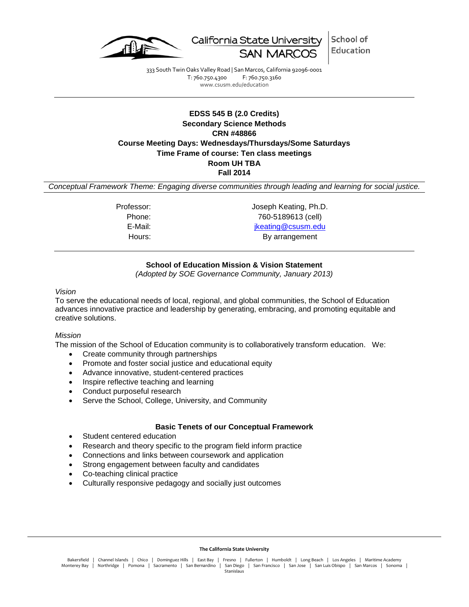

School of California State University Education **SAN MARG** 

333 South Twin Oaks Valley Road | San Marcos, California 92096-0001 T: 760.750.4300 F: 760.750.3160 www.csusm.edu/education

# **EDSS 545 B (2.0 Credits) Secondary Science Methods CRN #48866 Course Meeting Days: Wednesdays/Thursdays/Some Saturdays Time Frame of course: Ten class meetings Room UH TBA Fall 2014**

*Conceptual Framework Theme: Engaging diverse communities through leading and learning for social justice.*

Professor: Joseph Keating, Ph.D. Phone: 760-5189613 (cell) E-Mail: in the state of the state of the state in the state is in the state of the state in the state in the state is a state in the state in the state is a state in the state in the state in the state is a state in the st Hours: By arrangement

# **School of Education Mission & Vision Statement**

*(Adopted by SOE Governance Community, January 2013)*

#### *Vision*

To serve the educational needs of local, regional, and global communities, the School of Education advances innovative practice and leadership by generating, embracing, and promoting equitable and creative solutions.

#### *Mission*

The mission of the School of Education community is to collaboratively transform education. We:

- Create community through partnerships
- Promote and foster social justice and educational equity
- Advance innovative, student-centered practices
- Inspire reflective teaching and learning
- Conduct purposeful research
- Serve the School, College, University, and Community

#### **Basic Tenets of our Conceptual Framework**

- Student centered education
- Research and theory specific to the program field inform practice
- Connections and links between coursework and application
- Strong engagement between faculty and candidates
- Co-teaching clinical practice
- Culturally responsive pedagogy and socially just outcomes

#### **The California State University**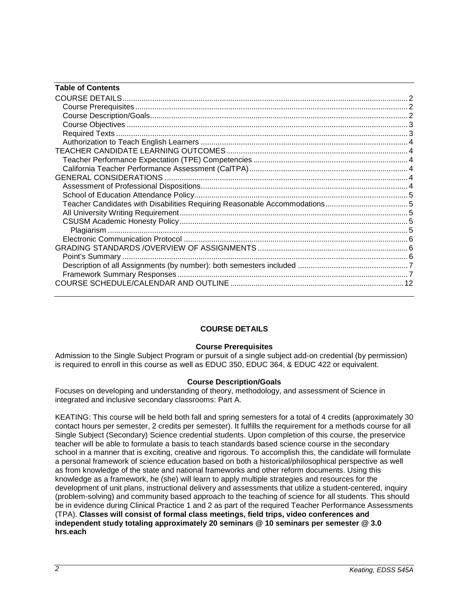| <b>Table of Contents</b> |  |
|--------------------------|--|
|                          |  |
|                          |  |
|                          |  |
|                          |  |
|                          |  |
|                          |  |
|                          |  |
|                          |  |
|                          |  |
|                          |  |
|                          |  |
|                          |  |
|                          |  |
|                          |  |
|                          |  |
|                          |  |
|                          |  |
|                          |  |
|                          |  |
|                          |  |
|                          |  |
|                          |  |

# **COURSE DETAILS**

## **Course Prerequisites**

<span id="page-1-1"></span><span id="page-1-0"></span>Admission to the Single Subject Program or pursuit of a single subject add-on credential (by permission) is required to enroll in this course as well as EDUC 350, EDUC 364, & EDUC 422 or equivalent.

## **Course Description/Goals**

<span id="page-1-2"></span>Focuses on developing and understanding of theory, methodology, and assessment of Science in integrated and inclusive secondary classrooms: Part A.

<span id="page-1-3"></span>KEATING: This course will be held both fall and spring semesters for a total of 4 credits (approximately 30 contact hours per semester, 2 credits per semester). It fulfills the requirement for a methods course for all Single Subject (Secondary) Science credential students. Upon completion of this course, the preservice teacher will be able to formulate a basis to teach standards based science course in the secondary school in a manner that is exciting, creative and rigorous. To accomplish this, the candidate will formulate a personal framework of science education based on both a historical/philosophical perspective as well as from knowledge of the state and national frameworks and other reform documents. Using this knowledge as a framework, he (she) will learn to apply multiple strategies and resources for the development of unit plans, instructional delivery and assessments that utilize a student-centered, inquiry (problem-solving) and community based approach to the teaching of science for all students. This should be in evidence during Clinical Practice 1 and 2 as part of the required Teacher Performance Assessments (TPA). **Classes will consist of formal class meetings, field trips, video conferences and independent study totaling approximately 20 seminars @ 10 seminars per semester @ 3.0 hrs.each**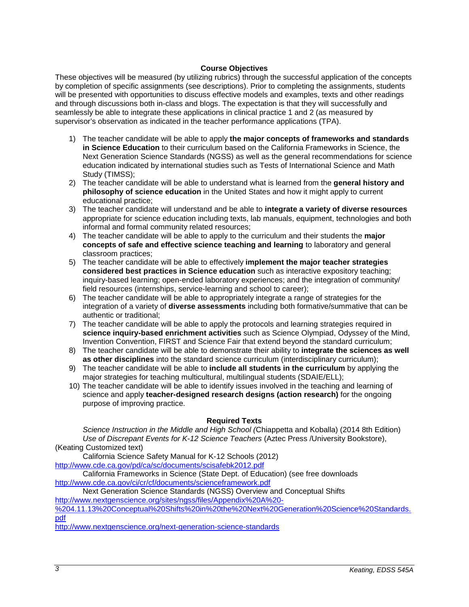## **Course Objectives**

These objectives will be measured (by utilizing rubrics) through the successful application of the concepts by completion of specific assignments (see descriptions). Prior to completing the assignments, students will be presented with opportunities to discuss effective models and examples, texts and other readings and through discussions both in-class and blogs. The expectation is that they will successfully and seamlessly be able to integrate these applications in clinical practice 1 and 2 (as measured by supervisor's observation as indicated in the teacher performance applications (TPA).

- 1) The teacher candidate will be able to apply **the major concepts of frameworks and standards in Science Education** to their curriculum based on the California Frameworks in Science, the Next Generation Science Standards (NGSS) as well as the general recommendations for science education indicated by international studies such as Tests of International Science and Math Study (TIMSS);
- 2) The teacher candidate will be able to understand what is learned from the **general history and philosophy of science education** in the United States and how it might apply to current educational practice;
- 3) The teacher candidate will understand and be able to **integrate a variety of diverse resources**  appropriate for science education including texts, lab manuals, equipment, technologies and both informal and formal community related resources;
- 4) The teacher candidate will be able to apply to the curriculum and their students the **major concepts of safe and effective science teaching and learning** to laboratory and general classroom practices;
- 5) The teacher candidate will be able to effectively **implement the major teacher strategies considered best practices in Science education** such as interactive expository teaching; inquiry-based learning; open-ended laboratory experiences; and the integration of community/ field resources (internships, service-learning and school to career);
- 6) The teacher candidate will be able to appropriately integrate a range of strategies for the integration of a variety of **diverse assessments** including both formative/summative that can be authentic or traditional;
- 7) The teacher candidate will be able to apply the protocols and learning strategies required in **science inquiry-based enrichment activities** such as Science Olympiad, Odyssey of the Mind, Invention Convention, FIRST and Science Fair that extend beyond the standard curriculum;
- 8) The teacher candidate will be able to demonstrate their ability to **integrate the sciences as well as other disciplines** into the standard science curriculum (interdisciplinary curriculum);
- 9) The teacher candidate will be able to **include all students in the curriculum** by applying the major strategies for teaching multicultural, multilingual students (SDAIE/ELL);
- 10) The teacher candidate will be able to identify issues involved in the teaching and learning of science and apply **teacher-designed research designs (action research)** for the ongoing purpose of improving practice.

## **Required Texts**

<span id="page-2-0"></span>*Science Instruction in the Middle and High School (*Chiappetta and Koballa) (2014 8th Edition) *Use of Discrepant Events for K-12 Science Teachers* (Aztec Press /University Bookstore), (Keating Customized text)

California Science Safety Manual for K-12 Schools (2012)

<http://www.cde.ca.gov/pd/ca/sc/documents/scisafebk2012.pdf>

California Frameworks in Science (State Dept. of Education) (see free downloads <http://www.cde.ca.gov/ci/cr/cf/documents/scienceframework.pdf>

Next Generation Science Standards (NGSS) Overview and Conceptual Shifts

[http://www.nextgenscience.org/sites/ngss/files/Appendix%20A%20-](http://www.nextgenscience.org/sites/ngss/files/Appendix%20A%20-%204.11.13%20Conceptual%20Shifts%20in%20the%20Next%20Generation%20Science%20Standards.pdf)

[%204.11.13%20Conceptual%20Shifts%20in%20the%20Next%20Generation%20Science%20Standards.](http://www.nextgenscience.org/sites/ngss/files/Appendix%20A%20-%204.11.13%20Conceptual%20Shifts%20in%20the%20Next%20Generation%20Science%20Standards.pdf) [pdf](http://www.nextgenscience.org/sites/ngss/files/Appendix%20A%20-%204.11.13%20Conceptual%20Shifts%20in%20the%20Next%20Generation%20Science%20Standards.pdf)

<http://www.nextgenscience.org/next-generation-science-standards>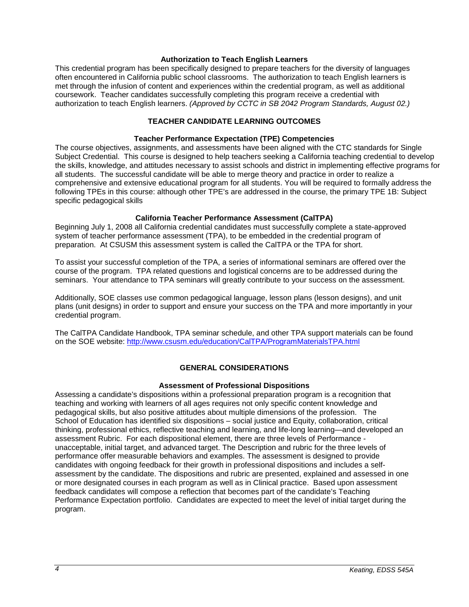#### **Authorization to Teach English Learners**

<span id="page-3-0"></span>This credential program has been specifically designed to prepare teachers for the diversity of languages often encountered in California public school classrooms. The authorization to teach English learners is met through the infusion of content and experiences within the credential program, as well as additional coursework. Teacher candidates successfully completing this program receive a credential with authorization to teach English learners. *(Approved by CCTC in SB 2042 Program Standards, August 02.)*

# **TEACHER CANDIDATE LEARNING OUTCOMES**

## **Teacher Performance Expectation (TPE) Competencies**

<span id="page-3-2"></span><span id="page-3-1"></span>The course objectives, assignments, and assessments have been aligned with the CTC standards for Single Subject Credential. This course is designed to help teachers seeking a California teaching credential to develop the skills, knowledge, and attitudes necessary to assist schools and district in implementing effective programs for all students. The successful candidate will be able to merge theory and practice in order to realize a comprehensive and extensive educational program for all students. You will be required to formally address the following TPEs in this course: although other TPE's are addressed in the course, the primary TPE 1B: Subject specific pedagogical skills

## **California Teacher Performance Assessment (CalTPA)**

<span id="page-3-3"></span>Beginning July 1, 2008 all California credential candidates must successfully complete a state-approved system of teacher performance assessment (TPA), to be embedded in the credential program of preparation. At CSUSM this assessment system is called the CalTPA or the TPA for short.

To assist your successful completion of the TPA, a series of informational seminars are offered over the course of the program. TPA related questions and logistical concerns are to be addressed during the seminars. Your attendance to TPA seminars will greatly contribute to your success on the assessment.

Additionally, SOE classes use common pedagogical language, lesson plans (lesson designs), and unit plans (unit designs) in order to support and ensure your success on the TPA and more importantly in your credential program.

The CalTPA Candidate Handbook, TPA seminar schedule, and other TPA support materials can be found on the SOE website:<http://www.csusm.edu/education/CalTPA/ProgramMaterialsTPA.html>

## **GENERAL CONSIDERATIONS**

#### **Assessment of Professional Dispositions**

<span id="page-3-5"></span><span id="page-3-4"></span>Assessing a candidate's dispositions within a professional preparation program is a recognition that teaching and working with learners of all ages requires not only specific content knowledge and pedagogical skills, but also positive attitudes about multiple dimensions of the profession. The School of Education has identified six dispositions – social justice and Equity, collaboration, critical thinking, professional ethics, reflective teaching and learning, and life-long learning—and developed an assessment Rubric. For each dispositional element, there are three levels of Performance unacceptable, initial target, and advanced target. The Description and rubric for the three levels of performance offer measurable behaviors and examples. The assessment is designed to provide candidates with ongoing feedback for their growth in professional dispositions and includes a selfassessment by the candidate. The dispositions and rubric are presented, explained and assessed in one or more designated courses in each program as well as in Clinical practice. Based upon assessment feedback candidates will compose a reflection that becomes part of the candidate's Teaching Performance Expectation portfolio. Candidates are expected to meet the level of initial target during the program.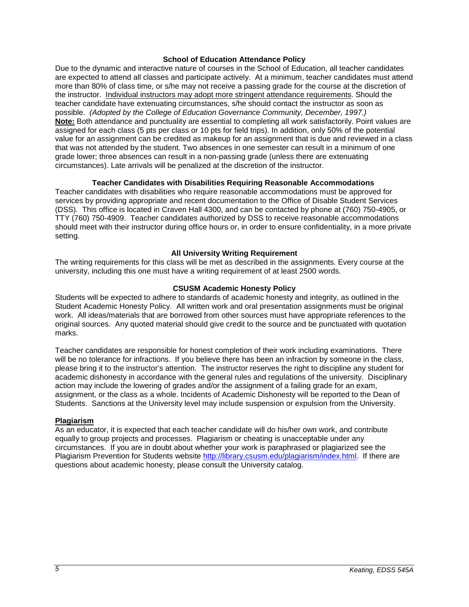#### **School of Education Attendance Policy**

<span id="page-4-0"></span>Due to the dynamic and interactive nature of courses in the School of Education, all teacher candidates are expected to attend all classes and participate actively. At a minimum, teacher candidates must attend more than 80% of class time, or s/he may not receive a passing grade for the course at the discretion of the instructor. Individual instructors may adopt more stringent attendance requirements. Should the teacher candidate have extenuating circumstances, s/he should contact the instructor as soon as possible. *(Adopted by the College of Education Governance Community, December, 1997.)* **Note:** Both attendance and punctuality are essential to completing all work satisfactorily. Point values are assigned for each class (5 pts per class or 10 pts for field trips). In addition, only 50% of the potential value for an assignment can be credited as makeup for an assignment that is due and reviewed in a class that was not attended by the student. Two absences in one semester can result in a minimum of one grade lower; three absences can result in a non-passing grade (unless there are extenuating circumstances). Late arrivals will be penalized at the discretion of the instructor.

## **Teacher Candidates with Disabilities Requiring Reasonable Accommodations**

<span id="page-4-1"></span>Teacher candidates with disabilities who require reasonable accommodations must be approved for services by providing appropriate and recent documentation to the Office of Disable Student Services (DSS). This office is located in Craven Hall 4300, and can be contacted by phone at (760) 750-4905, or TTY (760) 750-4909. Teacher candidates authorized by DSS to receive reasonable accommodations should meet with their instructor during office hours or, in order to ensure confidentiality, in a more private setting.

## **All University Writing Requirement**

<span id="page-4-2"></span>The writing requirements for this class will be met as described in the assignments. Every course at the university, including this one must have a writing requirement of at least 2500 words.

## **CSUSM Academic Honesty Policy**

<span id="page-4-3"></span>Students will be expected to adhere to standards of academic honesty and integrity, as outlined in the Student Academic Honesty Policy. All written work and oral presentation assignments must be original work. All ideas/materials that are borrowed from other sources must have appropriate references to the original sources. Any quoted material should give credit to the source and be punctuated with quotation marks.

Teacher candidates are responsible for honest completion of their work including examinations. There will be no tolerance for infractions. If you believe there has been an infraction by someone in the class, please bring it to the instructor's attention. The instructor reserves the right to discipline any student for academic dishonesty in accordance with the general rules and regulations of the university. Disciplinary action may include the lowering of grades and/or the assignment of a failing grade for an exam, assignment, or the class as a whole. Incidents of Academic Dishonesty will be reported to the Dean of Students. Sanctions at the University level may include suspension or expulsion from the University.

#### <span id="page-4-4"></span>**Plagiarism**

As an educator, it is expected that each teacher candidate will do his/her own work, and contribute equally to group projects and processes. Plagiarism or cheating is unacceptable under any circumstances. If you are in doubt about whether your work is paraphrased or plagiarized see the Plagiarism Prevention for Students website [http://library.csusm.edu/plagiarism/index.html.](http://library.csusm.edu/plagiarism/index.html) If there are questions about academic honesty, please consult the University catalog.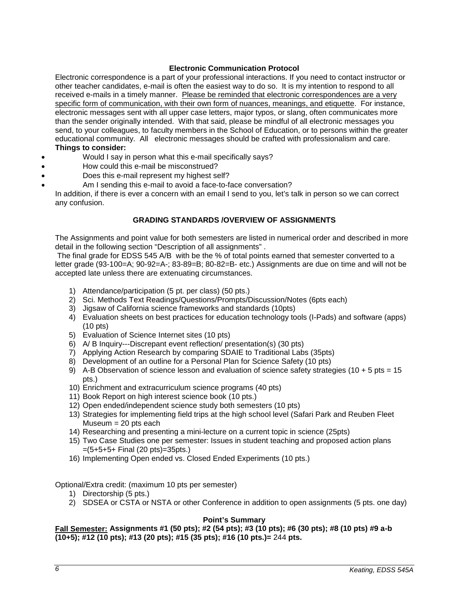## **Electronic Communication Protocol**

<span id="page-5-0"></span>Electronic correspondence is a part of your professional interactions. If you need to contact instructor or other teacher candidates, e-mail is often the easiest way to do so. It is my intention to respond to all received e-mails in a timely manner. Please be reminded that electronic correspondences are a very specific form of communication, with their own form of nuances, meanings, and etiquette. For instance, electronic messages sent with all upper case letters, major typos, or slang, often communicates more than the sender originally intended. With that said, please be mindful of all electronic messages you send, to your colleagues, to faculty members in the School of Education, or to persons within the greater educational community. All electronic messages should be crafted with professionalism and care. **Things to consider:** 

- Would I say in person what this e-mail specifically says?
- How could this e-mail be misconstrued?
- Does this e-mail represent my highest self?
- Am I sending this e-mail to avoid a face-to-face conversation?
- In addition, if there is ever a concern with an email I send to you, let's talk in person so we can correct any confusion.

## **GRADING STANDARDS /OVERVIEW OF ASSIGNMENTS**

<span id="page-5-1"></span>The Assignments and point value for both semesters are listed in numerical order and described in more detail in the following section "Description of all assignments" .

The final grade for EDSS 545 A/B with be the % of total points earned that semester converted to a letter grade (93-100=A; 90-92=A-; 83-89=B; 80-82=B- etc.) Assignments are due on time and will not be accepted late unless there are extenuating circumstances.

- 1) Attendance/participation (5 pt. per class) (50 pts.)
- 2) Sci. Methods Text Readings/Questions/Prompts/Discussion/Notes (6pts each)
- 3) Jigsaw of California science frameworks and standards (10pts)
- 4) Evaluation sheets on best practices for education technology tools (I-Pads) and software (apps) (10 pts)
- 5) Evaluation of Science Internet sites (10 pts)
- 6) A/ B Inquiry---Discrepant event reflection/ presentation(s) (30 pts)
- 7) Applying Action Research by comparing SDAIE to Traditional Labs (35pts)
- 8) Development of an outline for a Personal Plan for Science Safety (10 pts)
- 9) A-B Observation of science lesson and evaluation of science safety strategies (10 + 5 pts = 15 pts.)
- 10) Enrichment and extracurriculum science programs (40 pts)
- 11) Book Report on high interest science book (10 pts.)
- 12) Open ended/independent science study both semesters (10 pts)
- 13) Strategies for implementing field trips at the high school level (Safari Park and Reuben Fleet Museum  $= 20$  pts each
- 14) Researching and presenting a mini-lecture on a current topic in science (25pts)
- 15) Two Case Studies one per semester: Issues in student teaching and proposed action plans =(5+5+5+ Final (20 pts)=35pts.)
- 16) Implementing Open ended vs. Closed Ended Experiments (10 pts.)

Optional/Extra credit: (maximum 10 pts per semester)

- 1) Directorship (5 pts.)
- 2) SDSEA or CSTA or NSTA or other Conference in addition to open assignments (5 pts. one day)

#### **Point's Summary**

<span id="page-5-2"></span>**Fall Semester: Assignments #1 (50 pts); #2 (54 pts); #3 (10 pts); #6 (30 pts); #8 (10 pts) #9 a-b (10+5); #12 (10 pts); #13 (20 pts); #15 (35 pts); #16 (10 pts.)=** 244 **pts.**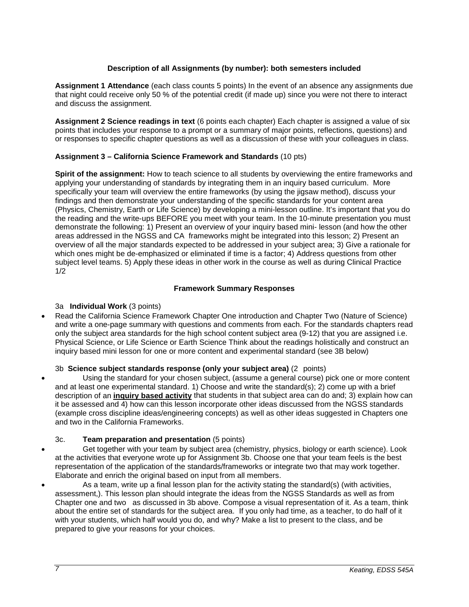## **Description of all Assignments (by number): both semesters included**

<span id="page-6-0"></span>**Assignment 1 Attendance** (each class counts 5 points) In the event of an absence any assignments due that night could receive only 50 % of the potential credit (if made up) since you were not there to interact and discuss the assignment.

**Assignment 2 Science readings in text** (6 points each chapter) Each chapter is assigned a value of six points that includes your response to a prompt or a summary of major points, reflections, questions) and or responses to specific chapter questions as well as a discussion of these with your colleagues in class.

## **Assignment 3 – California Science Framework and Standards** (10 pts)

**Spirit of the assignment:** How to teach science to all students by overviewing the entire frameworks and applying your understanding of standards by integrating them in an inquiry based curriculum. More specifically your team will overview the entire frameworks (by using the jigsaw method), discuss your findings and then demonstrate your understanding of the specific standards for your content area (Physics, Chemistry, Earth or Life Science) by developing a mini-lesson outline. It's important that you do the reading and the write-ups BEFORE you meet with your team. In the 10-minute presentation you must demonstrate the following: 1) Present an overview of your inquiry based mini- lesson (and how the other areas addressed in the NGSS and CA frameworks might be integrated into this lesson; 2) Present an overview of all the major standards expected to be addressed in your subject area; 3) Give a rationale for which ones might be de-emphasized or eliminated if time is a factor; 4) Address questions from other subject level teams. 5) Apply these ideas in other work in the course as well as during Clinical Practice 1/2

## **Framework Summary Responses**

## <span id="page-6-1"></span>3a **Individual Work** (3 points)

• Read the California Science Framework Chapter One introduction and Chapter Two (Nature of Science) and write a one-page summary with questions and comments from each. For the standards chapters read only the subject area standards for the high school content subject area (9-12) that you are assigned i.e. Physical Science, or Life Science or Earth Science Think about the readings holistically and construct an inquiry based mini lesson for one or more content and experimental standard (see 3B below)

## 3b **Science subject standards response (only your subject area)** (2 points)

• Using the standard for your chosen subject, (assume a general course) pick one or more content and at least one experimental standard. 1) Choose and write the standard(s); 2) come up with a brief description of an **inquiry based activity** that students in that subject area can do and; 3) explain how can it be assessed and 4) how can this lesson incorporate other ideas discussed from the NGSS standards (example cross discipline ideas/engineering concepts) as well as other ideas suggested in Chapters one and two in the California Frameworks.

## 3c. **Team preparation and presentation** (5 points)

- Get together with your team by subject area (chemistry, physics, biology or earth science). Look at the activities that everyone wrote up for Assignment 3b. Choose one that your team feels is the best representation of the application of the standards/frameworks or integrate two that may work together. Elaborate and enrich the original based on input from all members.
- As a team, write up a final lesson plan for the activity stating the standard(s) (with activities, assessment,). This lesson plan should integrate the ideas from the NGSS Standards as well as from Chapter one and two as discussed in 3b above. Compose a visual representation of it. As a team, think about the entire set of standards for the subject area. If you only had time, as a teacher, to do half of it with your students, which half would you do, and why? Make a list to present to the class, and be prepared to give your reasons for your choices.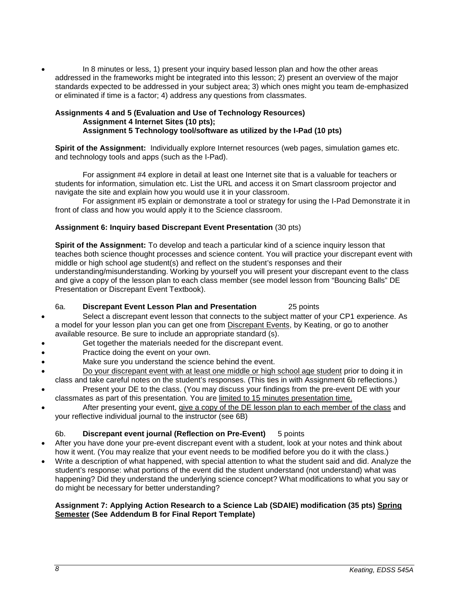• In 8 minutes or less, 1) present your inquiry based lesson plan and how the other areas addressed in the frameworks might be integrated into this lesson; 2) present an overview of the major standards expected to be addressed in your subject area; 3) which ones might you team de-emphasized or eliminated if time is a factor; 4) address any questions from classmates.

#### **Assignments 4 and 5 (Evaluation and Use of Technology Resources) Assignment 4 Internet Sites (10 pts); Assignment 5 Technology tool/software as utilized by the I-Pad (10 pts)**

**Spirit of the Assignment:** Individually explore Internet resources (web pages, simulation games etc. and technology tools and apps (such as the I-Pad).

For assignment #4 explore in detail at least one Internet site that is a valuable for teachers or students for information, simulation etc. List the URL and access it on Smart classroom projector and navigate the site and explain how you would use it in your classroom.

For assignment #5 explain or demonstrate a tool or strategy for using the I-Pad Demonstrate it in front of class and how you would apply it to the Science classroom.

## **Assignment 6: Inquiry based Discrepant Event Presentation** (30 pts)

**Spirit of the Assignment:** To develop and teach a particular kind of a science inquiry lesson that teaches both science thought processes and science content. You will practice your discrepant event with middle or high school age student(s) and reflect on the student's responses and their understanding/misunderstanding. Working by yourself you will present your discrepant event to the class and give a copy of the lesson plan to each class member (see model lesson from "Bouncing Balls" DE Presentation or Discrepant Event Textbook).

## 6a. **Discrepant Event Lesson Plan and Presentation** 25 points

- Select a discrepant event lesson that connects to the subject matter of your CP1 experience. As a model for your lesson plan you can get one from Discrepant Events, by Keating, or go to another available resource. Be sure to include an appropriate standard (s).
- Get together the materials needed for the discrepant event.
- Practice doing the event on your own.
- Make sure you understand the science behind the event.
- Do your discrepant event with at least one middle or high school age student prior to doing it in class and take careful notes on the student's responses. (This ties in with Assignment 6b reflections.)
- Present your DE to the class. (You may discuss your findings from the pre-event DE with your classmates as part of this presentation. You are limited to 15 minutes presentation time.
- After presenting your event, give a copy of the DE lesson plan to each member of the class and your reflective individual journal to the instructor (see 6B)

## 6b. **Discrepant event journal (Reflection on Pre-Event)** 5 points

- After you have done your pre-event discrepant event with a student, look at your notes and think about how it went. (You may realize that your event needs to be modified before you do it with the class.)
- Write a description of what happened, with special attention to what the student said and did. Analyze the student's response: what portions of the event did the student understand (not understand) what was happening? Did they understand the underlying science concept? What modifications to what you say or do might be necessary for better understanding?

## **Assignment 7: Applying Action Research to a Science Lab (SDAIE) modification (35 pts) Spring Semester (See Addendum B for Final Report Template)**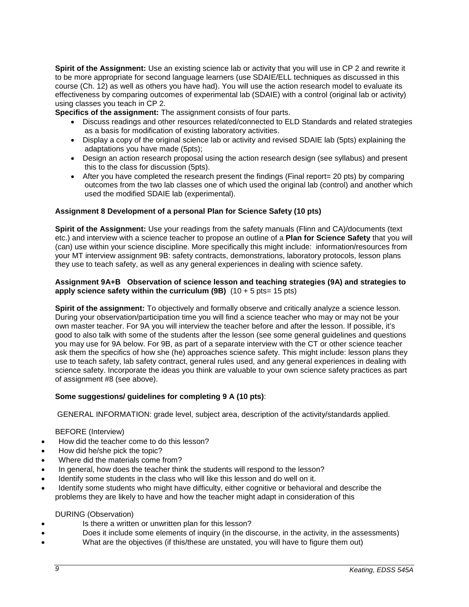**Spirit of the Assignment:** Use an existing science lab or activity that you will use in CP 2 and rewrite it to be more appropriate for second language learners (use SDAIE/ELL techniques as discussed in this course (Ch. 12) as well as others you have had). You will use the action research model to evaluate its effectiveness by comparing outcomes of experimental lab (SDAIE) with a control (original lab or activity) using classes you teach in CP 2.

**Specifics of the assignment:** The assignment consists of four parts.

- Discuss readings and other resources related/connected to ELD Standards and related strategies as a basis for modification of existing laboratory activities.
- Display a copy of the original science lab or activity and revised SDAIE lab (5pts) explaining the adaptations you have made (5pts);
- Design an action research proposal using the action research design (see syllabus) and present this to the class for discussion (5pts).
- After you have completed the research present the findings (Final report= 20 pts) by comparing outcomes from the two lab classes one of which used the original lab (control) and another which used the modified SDAIE lab (experimental).

## **Assignment 8 Development of a personal Plan for Science Safety (10 pts)**

**Spirit of the Assignment:** Use your readings from the safety manuals (Flinn and CA)/documents (text etc.) and interview with a science teacher to propose an outline of a **Plan for Science Safety** that you will (can) use within your science discipline. More specifically this might include: information/resources from your MT interview assignment 9B: safety contracts, demonstrations, laboratory protocols, lesson plans they use to teach safety, as well as any general experiences in dealing with science safety.

#### **Assignment 9A+B Observation of science lesson and teaching strategies (9A) and strategies to apply science safety within the curriculum**  $(9B)$  $(10 + 5 \text{ pts} = 15 \text{ pts})$

**Spirit of the assignment:** To objectively and formally observe and critically analyze a science lesson. During your observation/participation time you will find a science teacher who may or may not be your own master teacher. For 9A you will interview the teacher before and after the lesson. If possible, it's good to also talk with some of the students after the lesson (see some general guidelines and questions you may use for 9A below. For 9B, as part of a separate interview with the CT or other science teacher ask them the specifics of how she (he) approaches science safety. This might include: lesson plans they use to teach safety, lab safety contract, general rules used, and any general experiences in dealing with science safety. Incorporate the ideas you think are valuable to your own science safety practices as part of assignment #8 (see above).

#### **Some suggestions/ guidelines for completing 9 A (10 pts)**:

GENERAL INFORMATION: grade level, subject area, description of the activity/standards applied.

#### BEFORE (Interview)

- How did the teacher come to do this lesson?
- How did he/she pick the topic?
- Where did the materials come from?
- In general, how does the teacher think the students will respond to the lesson?
- Identify some students in the class who will like this lesson and do well on it.
- Identify some students who might have difficulty, either cognitive or behavioral and describe the problems they are likely to have and how the teacher might adapt in consideration of this

#### DURING (Observation)

- Is there a written or unwritten plan for this lesson?
- Does it include some elements of inquiry (in the discourse, in the activity, in the assessments)
- What are the objectives (if this/these are unstated, you will have to figure them out)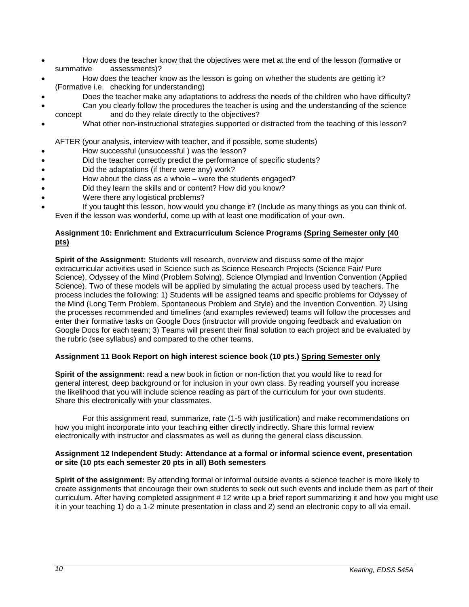- How does the teacher know that the objectives were met at the end of the lesson (formative or summative assessments)?
- How does the teacher know as the lesson is going on whether the students are getting it? (Formative i.e. checking for understanding)
- Does the teacher make any adaptations to address the needs of the children who have difficulty?
- Can you clearly follow the procedures the teacher is using and the understanding of the science concept and do they relate directly to the objectives?
- What other non-instructional strategies supported or distracted from the teaching of this lesson?

AFTER (your analysis, interview with teacher, and if possible, some students)

- How successful (unsuccessful ) was the lesson?
- Did the teacher correctly predict the performance of specific students?
- Did the adaptations (if there were any) work?
- How about the class as a whole were the students engaged?
- Did they learn the skills and or content? How did you know?
- Were there any logistical problems?
- If you taught this lesson, how would you change it? (Include as many things as you can think of. Even if the lesson was wonderful, come up with at least one modification of your own.

## **Assignment 10: Enrichment and Extracurriculum Science Programs (Spring Semester only (40 pts)**

**Spirit of the Assignment:** Students will research, overview and discuss some of the major extracurricular activities used in Science such as Science Research Projects (Science Fair/ Pure Science), Odyssey of the Mind (Problem Solving), Science Olympiad and Invention Convention (Applied Science). Two of these models will be applied by simulating the actual process used by teachers. The process includes the following: 1) Students will be assigned teams and specific problems for Odyssey of the Mind (Long Term Problem, Spontaneous Problem and Style) and the Invention Convention. 2) Using the processes recommended and timelines (and examples reviewed) teams will follow the processes and enter their formative tasks on Google Docs (instructor will provide ongoing feedback and evaluation on Google Docs for each team; 3) Teams will present their final solution to each project and be evaluated by the rubric (see syllabus) and compared to the other teams.

## **Assignment 11 Book Report on high interest science book (10 pts.) Spring Semester only**

**Spirit of the assignment:** read a new book in fiction or non-fiction that you would like to read for general interest, deep background or for inclusion in your own class. By reading yourself you increase the likelihood that you will include science reading as part of the curriculum for your own students. Share this electronically with your classmates.

For this assignment read, summarize, rate (1-5 with justification) and make recommendations on how you might incorporate into your teaching either directly indirectly. Share this formal review electronically with instructor and classmates as well as during the general class discussion.

## **Assignment 12 Independent Study: Attendance at a formal or informal science event, presentation or site (10 pts each semester 20 pts in all) Both semesters**

**Spirit of the assignment:** By attending formal or informal outside events a science teacher is more likely to create assignments that encourage their own students to seek out such events and include them as part of their curriculum. After having completed assignment # 12 write up a brief report summarizing it and how you might use it in your teaching 1) do a 1-2 minute presentation in class and 2) send an electronic copy to all via email.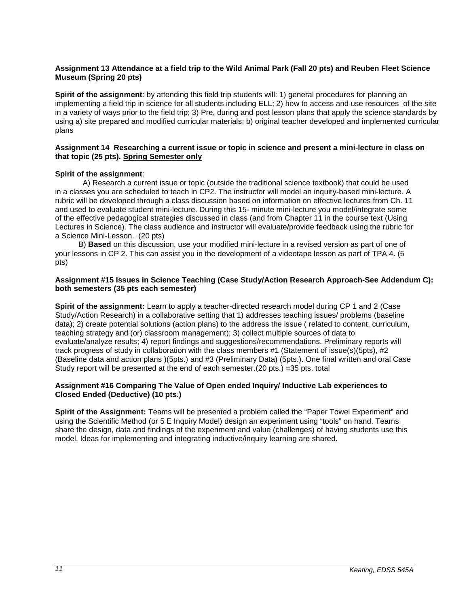#### **Assignment 13 Attendance at a field trip to the Wild Animal Park (Fall 20 pts) and Reuben Fleet Science Museum (Spring 20 pts)**

**Spirit of the assignment**: by attending this field trip students will: 1) general procedures for planning an implementing a field trip in science for all students including ELL; 2) how to access and use resources of the site in a variety of ways prior to the field trip; 3) Pre, during and post lesson plans that apply the science standards by using a) site prepared and modified curricular materials; b) original teacher developed and implemented curricular plans

#### **Assignment 14 Researching a current issue or topic in science and present a mini-lecture in class on that topic (25 pts). Spring Semester only**

## **Spirit of the assignment**:

A) Research a current issue or topic (outside the traditional science textbook) that could be used in a classes you are scheduled to teach in CP2. The instructor will model an inquiry-based mini-lecture. A rubric will be developed through a class discussion based on information on effective lectures from Ch. 11 and used to evaluate student mini-lecture. During this 15- minute mini-lecture you model/integrate some of the effective pedagogical strategies discussed in class (and from Chapter 11 in the course text (Using Lectures in Science). The class audience and instructor will evaluate/provide feedback using the rubric for a Science Mini-Lesson. (20 pts)

 B) **Based** on this discussion, use your modified mini-lecture in a revised version as part of one of your lessons in CP 2. This can assist you in the development of a videotape lesson as part of TPA 4. (5 pts)

#### **Assignment #15 Issues in Science Teaching (Case Study/Action Research Approach-See Addendum C): both semesters (35 pts each semester)**

**Spirit of the assignment:** Learn to apply a teacher-directed research model during CP 1 and 2 (Case Study/Action Research) in a collaborative setting that 1) addresses teaching issues/ problems (baseline data); 2) create potential solutions (action plans) to the address the issue ( related to content, curriculum, teaching strategy and (or) classroom management); 3) collect multiple sources of data to evaluate/analyze results; 4) report findings and suggestions/recommendations. Preliminary reports will track progress of study in collaboration with the class members #1 (Statement of issue(s)(5pts), #2 (Baseline data and action plans )(5pts.) and #3 (Preliminary Data) (5pts.). One final written and oral Case Study report will be presented at the end of each semester.(20 pts.) =35 pts. total

#### **Assignment #16 Comparing The Value of Open ended Inquiry/ Inductive Lab experiences to Closed Ended (Deductive) (10 pts.)**

**Spirit of the Assignment:** Teams will be presented a problem called the "Paper Towel Experiment" and using the Scientific Method (or 5 E Inquiry Model) design an experiment using "tools" on hand. Teams share the design, data and findings of the experiment and value (challenges) of having students use this model. Ideas for implementing and integrating inductive/inquiry learning are shared.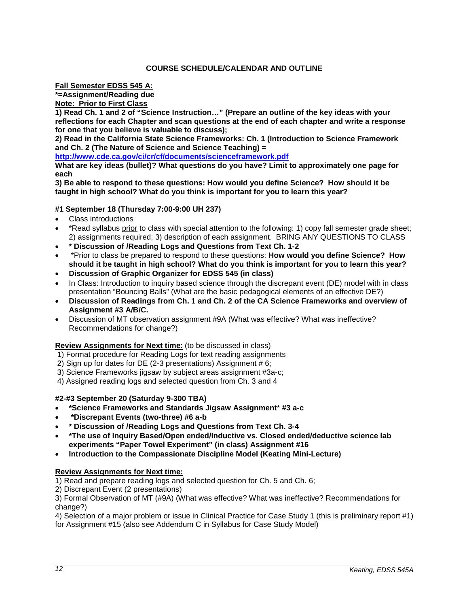## **COURSE SCHEDULE/CALENDAR AND OUTLINE**

<span id="page-11-0"></span>**Fall Semester EDSS 545 A:** 

**\*=Assignment/Reading due** 

**Note: Prior to First Class** 

**1) Read Ch. 1 and 2 of "Science Instruction…" (Prepare an outline of the key ideas with your reflections for each Chapter and scan questions at the end of each chapter and write a response for one that you believe is valuable to discuss);** 

**2) Read in the California State Science Frameworks: Ch. 1 (Introduction to Science Framework and Ch. 2 (The Nature of Science and Science Teaching) =**

**<http://www.cde.ca.gov/ci/cr/cf/documents/scienceframework.pdf>**

**What are key ideas (bullet)? What questions do you have? Limit to approximately one page for each**

**3) Be able to respond to these questions: How would you define Science? How should it be taught in high school? What do you think is important for you to learn this year?**

## **#1 September 18 (Thursday 7:00-9:00 UH 237)**

- Class introductions
- \*Read syllabus prior to class with special attention to the following: 1) copy fall semester grade sheet; 2) assignments required; 3) description of each assignment. BRING ANY QUESTIONS TO CLASS
- **\* Discussion of /Reading Logs and Questions from Text Ch. 1-2**
- \*Prior to class be prepared to respond to these questions: **How would you define Science? How should it be taught in high school? What do you think is important for you to learn this year?**
- **Discussion of Graphic Organizer for EDSS 545 (in class)**
- In Class: Introduction to inquiry based science through the discrepant event (DE) model with in class presentation "Bouncing Balls" (What are the basic pedagogical elements of an effective DE?)
- **Discussion of Readings from Ch. 1 and Ch. 2 of the CA Science Frameworks and overview of Assignment #3 A/B/C.**
- Discussion of MT observation assignment #9A (What was effective? What was ineffective? Recommendations for change?)

#### **Review Assignments for Next time**: (to be discussed in class)

1) Format procedure for Reading Logs for text reading assignments

- 2) Sign up for dates for DE (2-3 presentations) Assignment # 6;
- 3) Science Frameworks jigsaw by subject areas assignment #3a-c;
- 4) Assigned reading logs and selected question from Ch. 3 and 4

#### **#2-#3 September 20 (Saturday 9-300 TBA)**

- **\*Science Frameworks and Standards Jigsaw Assignment**\* **#3 a-c**
- **\*Discrepant Events (two-three) #6 a-b**
- **\* Discussion of /Reading Logs and Questions from Text Ch. 3-4**
- **\*The use of Inquiry Based/Open ended/Inductive vs. Closed ended/deductive science lab experiments "Paper Towel Experiment" (in class) Assignment #16**
- **Introduction to the Compassionate Discipline Model (Keating Mini-Lecture)**

## **Review Assignments for Next time:**

1) Read and prepare reading logs and selected question for Ch. 5 and Ch. 6;

2) Discrepant Event (2 presentations)

3) Formal Observation of MT (#9A) (What was effective? What was ineffective? Recommendations for change?)

4) Selection of a major problem or issue in Clinical Practice for Case Study 1 (this is preliminary report #1) for Assignment #15 (also see Addendum C in Syllabus for Case Study Model)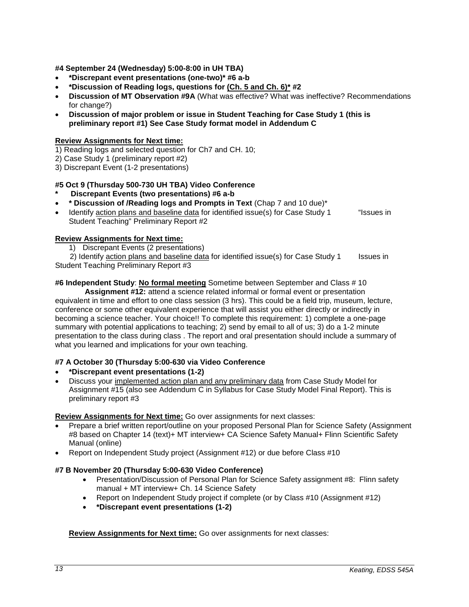**#4 September 24 (Wednesday) 5:00-8:00 in UH TBA)**

- **\*Discrepant event presentations (one-two)\* #6 a-b**
- **\*Discussion of Reading logs, questions for (Ch. 5 and Ch. 6)\* #2**
- **Discussion of MT Observation #9A** (What was effective? What was ineffective? Recommendations for change?)
- **Discussion of major problem or issue in Student Teaching for Case Study 1 (this is preliminary report #1) See Case Study format model in Addendum C**

## **Review Assignments for Next time:**

- 1) Reading logs and selected question for Ch7 and CH. 10;
- 2) Case Study 1 (preliminary report #2)

3) Discrepant Event (1-2 presentations)

## **#5 Oct 9 (Thursday 500-730 UH TBA) Video Conference**

- **\* Discrepant Events (two presentations) #6 a-b**
- **\* Discussion of /Reading logs and Prompts in Text** (Chap 7 and 10 due)\*
- Identify action plans and baseline data for identified issue(s) for Case Study 1 "Issues in Student Teaching" Preliminary Report #2

#### **Review Assignments for Next time:**

1) Discrepant Events (2 presentations)

2) Identify action plans and baseline data for identified issue(s) for Case Study  $1$  Issues in Student Teaching Preliminary Report #3

# **#6 Independent Study**: **No formal meeting** Sometime between September and Class # 10

**Assignment #12:** attend a science related informal or formal event or presentation equivalent in time and effort to one class session (3 hrs). This could be a field trip, museum, lecture, conference or some other equivalent experience that will assist you either directly or indirectly in becoming a science teacher. Your choice!! To complete this requirement: 1) complete a one-page summary with potential applications to teaching; 2) send by email to all of us; 3) do a 1-2 minute presentation to the class during class . The report and oral presentation should include a summary of what you learned and implications for your own teaching.

## **#7 A October 30 (Thursday 5:00-630 via Video Conference**

- **\*Discrepant event presentations (1-2)**
- Discuss your implemented action plan and any preliminary data from Case Study Model for Assignment #15 (also see Addendum C in Syllabus for Case Study Model Final Report). This is preliminary report #3

#### **Review Assignments for Next time:** Go over assignments for next classes:

- Prepare a brief written report/outline on your proposed Personal Plan for Science Safety (Assignment #8 based on Chapter 14 (text)+ MT interview+ CA Science Safety Manual+ Flinn Scientific Safety Manual (online)
- Report on Independent Study project (Assignment #12) or due before Class #10

#### **#7 B November 20 (Thursday 5:00-630 Video Conference)**

- Presentation/Discussion of Personal Plan for Science Safety assignment #8: Flinn safety manual + MT interview+ Ch. 14 Science Safety
- Report on Independent Study project if complete (or by Class #10 (Assignment #12)
- **\*Discrepant event presentations (1-2)**

**Review Assignments for Next time:** Go over assignments for next classes: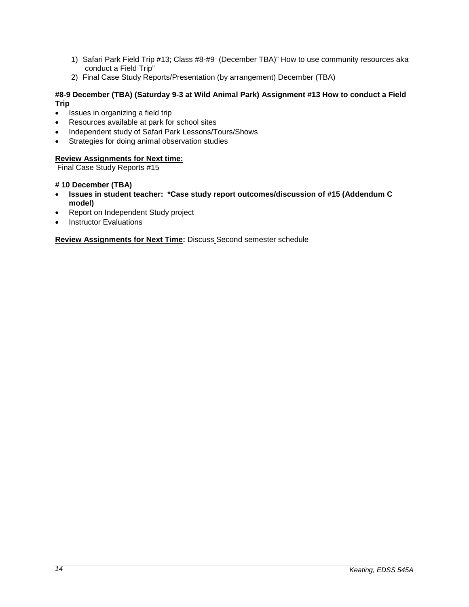- 1) Safari Park Field Trip #13; Class #8-#9 (December TBA)" How to use community resources aka conduct a Field Trip"
- 2) Final Case Study Reports/Presentation (by arrangement) December (TBA)

## **#8-9 December (TBA) (Saturday 9-3 at Wild Animal Park) Assignment #13 How to conduct a Field Trip**

- Issues in organizing a field trip
- Resources available at park for school sites
- Independent study of Safari Park Lessons/Tours/Shows
- Strategies for doing animal observation studies

# **Review Assignments for Next time:**

Final Case Study Reports #15

## **# 10 December (TBA)**

- **Issues in student teacher: \*Case study report outcomes/discussion of #15 (Addendum C model)**
- Report on Independent Study project
- **Instructor Evaluations**

**Review Assignments for Next Time:** Discuss Second semester schedule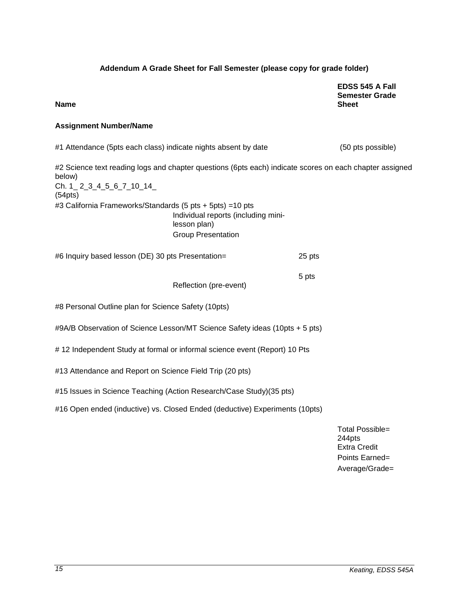## **Addendum A Grade Sheet for Fall Semester (please copy for grade folder)**

**EDSS 545 A Fall Semester Grade Sheet**

#### **Name**

#### **Assignment Number/Name**

#1 Attendance (5pts each class) indicate nights absent by date (50 pts possible) #2 Science text reading logs and chapter questions (6pts each) indicate scores on each chapter assigned below) Ch. 1\_ 2\_3\_4\_5\_6\_7\_10\_14\_ (54pts) #3 California Frameworks/Standards (5 pts + 5pts) =10 pts Individual reports (including minilesson plan) Group Presentation #6 Inquiry based lesson (DE) 30 pts Presentation= 25 pts Reflection (pre-event) 5 pts #8 Personal Outline plan for Science Safety (10pts) #9A/B Observation of Science Lesson/MT Science Safety ideas (10pts + 5 pts) # 12 Independent Study at formal or informal science event (Report) 10 Pts #13 Attendance and Report on Science Field Trip (20 pts) #15 Issues in Science Teaching (Action Research/Case Study)(35 pts) #16 Open ended (inductive) vs. Closed Ended (deductive) Experiments (10pts)

> Total Possible= 244pts Extra Credit Points Earned= Average/Grade=